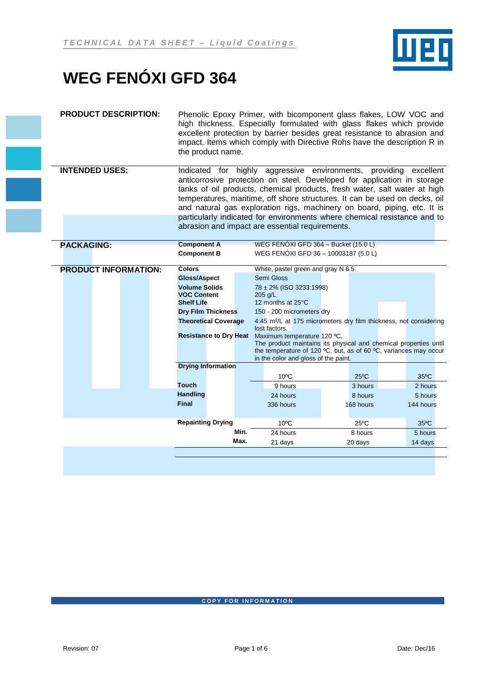

# **WEG FENÓXI GFD 364**

Ē

| <b>PRODUCT DESCRIPTION:</b> | the product name.                                                                                                                                                                                                                                                                                                                                                                                                                                                                                                           | Phenolic Epoxy Primer, with bicomponent glass flakes, LOW VOC and<br>high thickness. Especially formulated with glass flakes which provide<br>excellent protection by barrier besides great resistance to abrasion and<br>impact. Items which comply with Directive Rohs have the description R in |                                                                               |                |  |  |
|-----------------------------|-----------------------------------------------------------------------------------------------------------------------------------------------------------------------------------------------------------------------------------------------------------------------------------------------------------------------------------------------------------------------------------------------------------------------------------------------------------------------------------------------------------------------------|----------------------------------------------------------------------------------------------------------------------------------------------------------------------------------------------------------------------------------------------------------------------------------------------------|-------------------------------------------------------------------------------|----------------|--|--|
| <b>INTENDED USES:</b>       | highly aggressive environments,<br>providing<br>Indicated for<br>excellent<br>anticorrosive protection on steel. Developed for application in storage<br>tanks of oil products, chemical products, fresh water, salt water at high<br>temperatures, maritime, off shore structures. It can be used on decks, oil<br>and natural gas exploration rigs, machinery on board, piping, etc. It is<br>particularly indicated for environments where chemical resistance and to<br>abrasion and impact are essential requirements. |                                                                                                                                                                                                                                                                                                    |                                                                               |                |  |  |
| <b>PACKAGING:</b>           | <b>Component A</b>                                                                                                                                                                                                                                                                                                                                                                                                                                                                                                          | WEG FENÓXI GFD 364 - Bucket (15.0 L)                                                                                                                                                                                                                                                               |                                                                               |                |  |  |
|                             | <b>Component B</b>                                                                                                                                                                                                                                                                                                                                                                                                                                                                                                          | WEG FENÓXI GFD 36 - 10003187 (5.0 L)                                                                                                                                                                                                                                                               |                                                                               |                |  |  |
| <b>PRODUCT INFORMATION:</b> | <b>Colors</b>                                                                                                                                                                                                                                                                                                                                                                                                                                                                                                               | White, pastel green and gray N 6.5.                                                                                                                                                                                                                                                                |                                                                               |                |  |  |
|                             | <b>Gloss/Aspect</b>                                                                                                                                                                                                                                                                                                                                                                                                                                                                                                         | Semi Gloss                                                                                                                                                                                                                                                                                         |                                                                               |                |  |  |
|                             | <b>Volume Solids</b>                                                                                                                                                                                                                                                                                                                                                                                                                                                                                                        | 78 ± 2% (ISO 3233:1998)                                                                                                                                                                                                                                                                            |                                                                               |                |  |  |
|                             | <b>VOC Content</b>                                                                                                                                                                                                                                                                                                                                                                                                                                                                                                          | 205 g/L<br>12 months at 25°C                                                                                                                                                                                                                                                                       |                                                                               |                |  |  |
|                             | <b>Shelf Life</b><br><b>Dry Film Thickness</b>                                                                                                                                                                                                                                                                                                                                                                                                                                                                              | 150 - 200 micrometers dry                                                                                                                                                                                                                                                                          |                                                                               |                |  |  |
|                             | <b>Theoretical Coverage</b>                                                                                                                                                                                                                                                                                                                                                                                                                                                                                                 |                                                                                                                                                                                                                                                                                                    | 4.45 m <sup>2</sup> /L at 175 micrometers dry film thickness, not considering |                |  |  |
|                             |                                                                                                                                                                                                                                                                                                                                                                                                                                                                                                                             | lost factors.                                                                                                                                                                                                                                                                                      |                                                                               |                |  |  |
|                             | <b>Resistance to Dry Heat</b>                                                                                                                                                                                                                                                                                                                                                                                                                                                                                               | Maximum temperature 120 °C.                                                                                                                                                                                                                                                                        |                                                                               |                |  |  |
|                             |                                                                                                                                                                                                                                                                                                                                                                                                                                                                                                                             |                                                                                                                                                                                                                                                                                                    | The product maintains its physical and chemical properties until              |                |  |  |
|                             |                                                                                                                                                                                                                                                                                                                                                                                                                                                                                                                             | in the color and gloss of the paint.                                                                                                                                                                                                                                                               | the temperature of 120 °C, but, as of 60 °C, variances may occur              |                |  |  |
|                             | <b>Drying Information</b>                                                                                                                                                                                                                                                                                                                                                                                                                                                                                                   |                                                                                                                                                                                                                                                                                                    |                                                                               |                |  |  |
|                             |                                                                                                                                                                                                                                                                                                                                                                                                                                                                                                                             | $10^{\circ}$ C                                                                                                                                                                                                                                                                                     | $25^{\circ}$ C                                                                | $35^{\circ}$ C |  |  |
|                             | <b>Touch</b>                                                                                                                                                                                                                                                                                                                                                                                                                                                                                                                | 9 hours                                                                                                                                                                                                                                                                                            | 3 hours                                                                       | 2 hours        |  |  |
|                             | <b>Handling</b>                                                                                                                                                                                                                                                                                                                                                                                                                                                                                                             | 24 hours                                                                                                                                                                                                                                                                                           | 8 hours                                                                       | 5 hours        |  |  |
|                             | <b>Final</b>                                                                                                                                                                                                                                                                                                                                                                                                                                                                                                                | 336 hours                                                                                                                                                                                                                                                                                          | 168 hours                                                                     | 144 hours      |  |  |
|                             |                                                                                                                                                                                                                                                                                                                                                                                                                                                                                                                             |                                                                                                                                                                                                                                                                                                    |                                                                               |                |  |  |
|                             | <b>Repainting Drying</b>                                                                                                                                                                                                                                                                                                                                                                                                                                                                                                    | $10^{\circ}$ C                                                                                                                                                                                                                                                                                     | $25^{\circ}$ C                                                                | 35°C           |  |  |
|                             |                                                                                                                                                                                                                                                                                                                                                                                                                                                                                                                             | Min.<br>24 hours                                                                                                                                                                                                                                                                                   | 8 hours                                                                       | 5 hours        |  |  |
|                             | Max.                                                                                                                                                                                                                                                                                                                                                                                                                                                                                                                        | 21 days                                                                                                                                                                                                                                                                                            | 20 days                                                                       | 14 days        |  |  |
|                             |                                                                                                                                                                                                                                                                                                                                                                                                                                                                                                                             |                                                                                                                                                                                                                                                                                                    |                                                                               |                |  |  |
|                             |                                                                                                                                                                                                                                                                                                                                                                                                                                                                                                                             |                                                                                                                                                                                                                                                                                                    |                                                                               |                |  |  |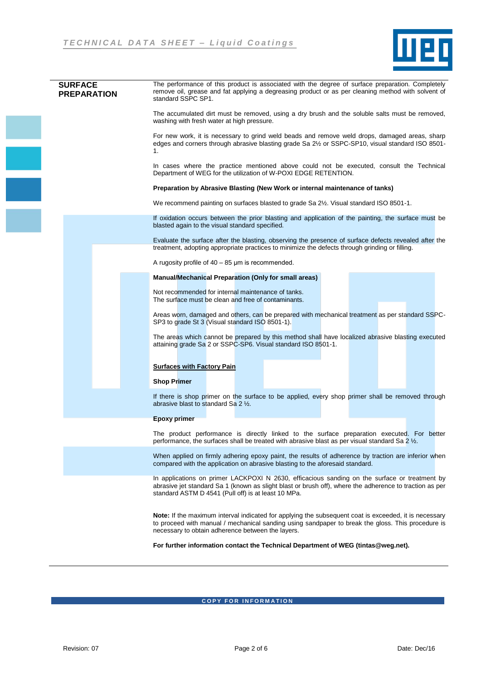

| <b>SURFACE</b><br><b>PREPARATION</b> | The performance of this product is associated with the degree of surface preparation. Completely<br>remove oil, grease and fat applying a degreasing product or as per cleaning method with solvent of<br>standard SSPC SP1.                                           |
|--------------------------------------|------------------------------------------------------------------------------------------------------------------------------------------------------------------------------------------------------------------------------------------------------------------------|
|                                      | The accumulated dirt must be removed, using a dry brush and the soluble salts must be removed,<br>washing with fresh water at high pressure.                                                                                                                           |
|                                      | For new work, it is necessary to grind weld beads and remove weld drops, damaged areas, sharp<br>edges and corners through abrasive blasting grade Sa 2½ or SSPC-SP10, visual standard ISO 8501-<br>1.                                                                 |
|                                      | In cases where the practice mentioned above could not be executed, consult the Technical<br>Department of WEG for the utilization of W-POXI EDGE RETENTION.                                                                                                            |
|                                      | Preparation by Abrasive Blasting (New Work or internal maintenance of tanks)                                                                                                                                                                                           |
|                                      | We recommend painting on surfaces blasted to grade Sa 2½. Visual standard ISO 8501-1.                                                                                                                                                                                  |
|                                      | If oxidation occurs between the prior blasting and application of the painting, the surface must be<br>blasted again to the visual standard specified.                                                                                                                 |
|                                      | Evaluate the surface after the blasting, observing the presence of surface defects revealed after the<br>treatment, adopting appropriate practices to minimize the defects through grinding or filling.                                                                |
|                                      | A rugosity profile of $40 - 85$ µm is recommended.                                                                                                                                                                                                                     |
|                                      | <b>Manual/Mechanical Preparation (Only for small areas)</b>                                                                                                                                                                                                            |
|                                      | Not recommended for internal maintenance of tanks.<br>The surface must be clean and free of contaminants.                                                                                                                                                              |
|                                      | Areas worn, damaged and others, can be prepared with mechanical treatment as per standard SSPC-<br>SP3 to grade St 3 (Visual standard ISO 8501-1).                                                                                                                     |
|                                      | The areas which cannot be prepared by this method shall have localized abrasive blasting executed<br>attaining grade Sa 2 or SSPC-SP6. Visual standard ISO 8501-1.                                                                                                     |
|                                      | <b>Surfaces with Factory Pain</b>                                                                                                                                                                                                                                      |
|                                      | <b>Shop Primer</b>                                                                                                                                                                                                                                                     |
|                                      | If there is shop primer on the surface to be applied, every shop primer shall be removed through<br>abrasive blast to standard Sa 2 1/2.                                                                                                                               |
|                                      | <b>Epoxy primer</b>                                                                                                                                                                                                                                                    |
|                                      | The product performance is directly linked to the surface preparation executed. For better<br>performance, the surfaces shall be treated with abrasive blast as per visual standard Sa 2 1/2.                                                                          |
|                                      | When applied on firmly adhering epoxy paint, the results of adherence by traction are inferior when<br>compared with the application on abrasive blasting to the aforesaid standard.                                                                                   |
|                                      | In applications on primer LACKPOXI N 2630, efficacious sanding on the surface or treatment by<br>abrasive jet standard Sa 1 (known as slight blast or brush off), where the adherence to traction as per<br>standard ASTM D 4541 (Pull off) is at least 10 MPa.        |
|                                      | <b>Note:</b> If the maximum interval indicated for applying the subsequent coat is exceeded, it is necessary<br>to proceed with manual / mechanical sanding using sandpaper to break the gloss. This procedure is<br>necessary to obtain adherence between the layers. |
|                                      | For further information contact the Technical Department of WEG (tintas@weg.net).                                                                                                                                                                                      |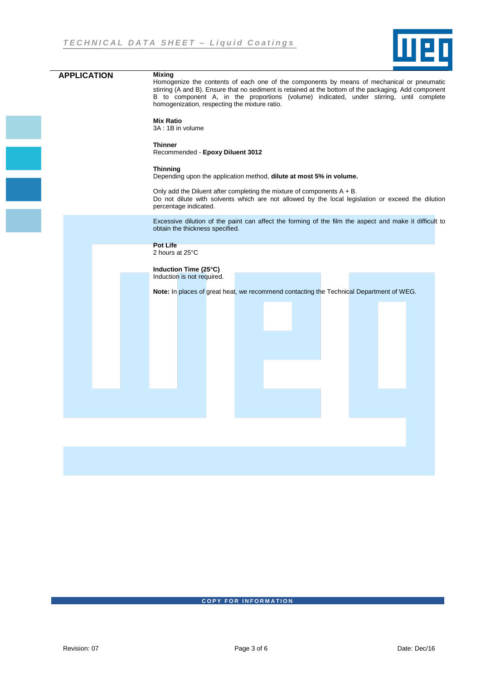

| <b>APPLICATION</b> | <b>Mixing</b>    |                            | homogenization, respecting the mixture ratio. |                                                                                         |  |  | Homogenize the contents of each one of the components by means of mechanical or pneumatic<br>stirring (A and B). Ensure that no sediment is retained at the bottom of the packaging. Add component<br>B to component A, in the proportions (volume) indicated, under stirring, until complete |  |
|--------------------|------------------|----------------------------|-----------------------------------------------|-----------------------------------------------------------------------------------------|--|--|-----------------------------------------------------------------------------------------------------------------------------------------------------------------------------------------------------------------------------------------------------------------------------------------------|--|
|                    | <b>Mix Ratio</b> | 3A: 1B in volume           |                                               |                                                                                         |  |  |                                                                                                                                                                                                                                                                                               |  |
|                    | <b>Thinner</b>   |                            | Recommended - Epoxy Diluent 3012              |                                                                                         |  |  |                                                                                                                                                                                                                                                                                               |  |
|                    | <b>Thinning</b>  |                            |                                               | Depending upon the application method, dilute at most 5% in volume.                     |  |  |                                                                                                                                                                                                                                                                                               |  |
|                    |                  | percentage indicated.      |                                               | Only add the Diluent after completing the mixture of components $A + B$ .               |  |  | Do not dilute with solvents which are not allowed by the local legislation or exceed the dilution                                                                                                                                                                                             |  |
|                    |                  |                            | obtain the thickness specified.               |                                                                                         |  |  | Excessive dilution of the paint can affect the forming of the film the aspect and make it difficult to                                                                                                                                                                                        |  |
|                    | <b>Pot Life</b>  |                            |                                               |                                                                                         |  |  |                                                                                                                                                                                                                                                                                               |  |
|                    | 2 hours at 25°C  |                            |                                               |                                                                                         |  |  |                                                                                                                                                                                                                                                                                               |  |
|                    |                  | Induction Time (25°C)      |                                               |                                                                                         |  |  |                                                                                                                                                                                                                                                                                               |  |
|                    |                  | Induction is not required. |                                               |                                                                                         |  |  |                                                                                                                                                                                                                                                                                               |  |
|                    |                  |                            |                                               | Note: In places of great heat, we recommend contacting the Technical Department of WEG. |  |  |                                                                                                                                                                                                                                                                                               |  |
|                    |                  |                            |                                               |                                                                                         |  |  |                                                                                                                                                                                                                                                                                               |  |
|                    |                  |                            |                                               |                                                                                         |  |  |                                                                                                                                                                                                                                                                                               |  |
|                    |                  |                            |                                               |                                                                                         |  |  |                                                                                                                                                                                                                                                                                               |  |
|                    |                  |                            |                                               |                                                                                         |  |  |                                                                                                                                                                                                                                                                                               |  |
|                    |                  |                            |                                               |                                                                                         |  |  |                                                                                                                                                                                                                                                                                               |  |
|                    |                  |                            |                                               |                                                                                         |  |  |                                                                                                                                                                                                                                                                                               |  |
|                    |                  |                            |                                               |                                                                                         |  |  |                                                                                                                                                                                                                                                                                               |  |
|                    |                  |                            |                                               |                                                                                         |  |  |                                                                                                                                                                                                                                                                                               |  |
|                    |                  |                            |                                               |                                                                                         |  |  |                                                                                                                                                                                                                                                                                               |  |
|                    |                  |                            |                                               |                                                                                         |  |  |                                                                                                                                                                                                                                                                                               |  |
|                    |                  |                            |                                               |                                                                                         |  |  |                                                                                                                                                                                                                                                                                               |  |
|                    |                  |                            |                                               |                                                                                         |  |  |                                                                                                                                                                                                                                                                                               |  |
|                    |                  |                            |                                               |                                                                                         |  |  |                                                                                                                                                                                                                                                                                               |  |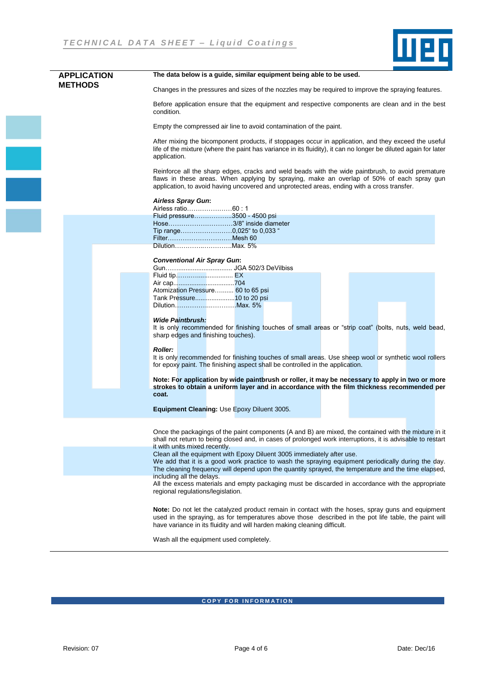

| <b>APPLICATION</b> |  | The data below is a guide, similar equipment being able to be used.                                                                                                                                                                                                                           |
|--------------------|--|-----------------------------------------------------------------------------------------------------------------------------------------------------------------------------------------------------------------------------------------------------------------------------------------------|
| <b>METHODS</b>     |  | Changes in the pressures and sizes of the nozzles may be required to improve the spraying features.                                                                                                                                                                                           |
|                    |  | Before application ensure that the equipment and respective components are clean and in the best<br>condition.                                                                                                                                                                                |
|                    |  | Empty the compressed air line to avoid contamination of the paint.                                                                                                                                                                                                                            |
|                    |  | After mixing the bicomponent products, if stoppages occur in application, and they exceed the useful<br>life of the mixture (where the paint has variance in its fluidity), it can no longer be diluted again for later<br>application.                                                       |
|                    |  | Reinforce all the sharp edges, cracks and weld beads with the wide paintbrush, to avoid premature<br>flaws in these areas. When applying by spraying, make an overlap of 50% of each spray gun<br>application, to avoid having uncovered and unprotected areas, ending with a cross transfer. |
|                    |  | <b>Airless Spray Gun:</b><br>Airless ratio60: 1                                                                                                                                                                                                                                               |
|                    |  | Fluid pressure3500 - 4500 psi                                                                                                                                                                                                                                                                 |
|                    |  | Hose3/8" inside diameter                                                                                                                                                                                                                                                                      |
|                    |  | Tip range0,025" to 0,033 "                                                                                                                                                                                                                                                                    |
|                    |  | FilterMesh 60<br>DilutionMax. 5%                                                                                                                                                                                                                                                              |
|                    |  |                                                                                                                                                                                                                                                                                               |
|                    |  | <b>Conventional Air Spray Gun:</b>                                                                                                                                                                                                                                                            |
|                    |  |                                                                                                                                                                                                                                                                                               |
|                    |  | Fluid tip EX                                                                                                                                                                                                                                                                                  |
|                    |  | Atomization Pressure 60 to 65 psi                                                                                                                                                                                                                                                             |
|                    |  | Tank Pressure10 to 20 psi                                                                                                                                                                                                                                                                     |
|                    |  | DilutionMax. 5%                                                                                                                                                                                                                                                                               |
|                    |  | <b>Wide Paintbrush:</b>                                                                                                                                                                                                                                                                       |
|                    |  | It is only recommended for finishing touches of small areas or "strip coat" (bolts, nuts, weld bead,                                                                                                                                                                                          |
|                    |  | sharp edges and finishing touches).                                                                                                                                                                                                                                                           |
|                    |  | <b>Roller:</b>                                                                                                                                                                                                                                                                                |
|                    |  | It is only recommended for finishing touches of small areas. Use sheep wool or synthetic wool rollers<br>for epoxy paint. The finishing aspect shall be controlled in the application.                                                                                                        |
|                    |  | Note: For application by wide paintbrush or roller, it may be necessary to apply in two or more                                                                                                                                                                                               |
|                    |  | strokes to obtain a uniform layer and in accordance with the film thickness recommended per<br>coat.                                                                                                                                                                                          |
|                    |  | Equipment Cleaning: Use Epoxy Diluent 3005.                                                                                                                                                                                                                                                   |
|                    |  | Once the packagings of the paint components (A and B) are mixed, the contained with the mixture in it<br>shall not return to being closed and, in cases of prolonged work interruptions, it is advisable to restart<br>it with units mixed recently.                                          |
|                    |  | Clean all the equipment with Epoxy Diluent 3005 immediately after use.                                                                                                                                                                                                                        |
|                    |  | We add that it is a good work practice to wash the spraying equipment periodically during the day.<br>The cleaning frequency will depend upon the quantity sprayed, the temperature and the time elapsed,                                                                                     |
|                    |  | including all the delays.                                                                                                                                                                                                                                                                     |
|                    |  | All the excess materials and empty packaging must be discarded in accordance with the appropriate<br>regional regulations/legislation.                                                                                                                                                        |
|                    |  | Note: Do not let the catalyzed product remain in contact with the hoses, spray guns and equipment<br>used in the spraying, as for temperatures above those described in the pot life table, the paint will<br>have variance in its fluidity and will harden making cleaning difficult.        |
|                    |  | Wash all the equipment used completely.                                                                                                                                                                                                                                                       |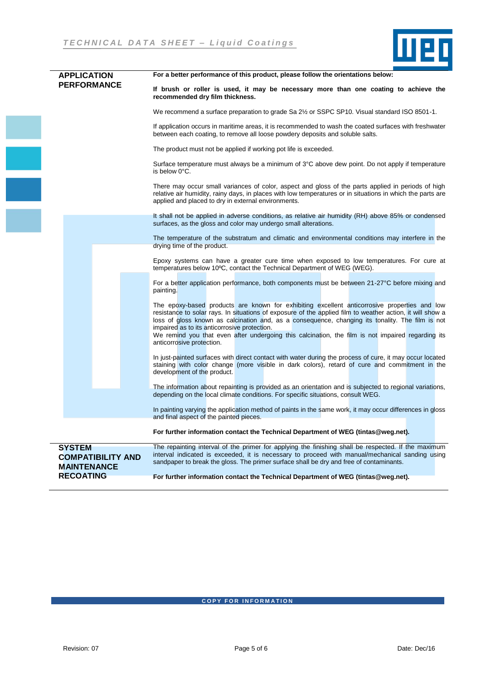

| <b>APPLICATION</b>                                              | For a better performance of this product, please follow the orientations below:                                                                                                                                                                                                                                                                                                                                                                                                                 |
|-----------------------------------------------------------------|-------------------------------------------------------------------------------------------------------------------------------------------------------------------------------------------------------------------------------------------------------------------------------------------------------------------------------------------------------------------------------------------------------------------------------------------------------------------------------------------------|
| <b>PERFORMANCE</b>                                              | If brush or roller is used, it may be necessary more than one coating to achieve the<br>recommended dry film thickness.                                                                                                                                                                                                                                                                                                                                                                         |
|                                                                 | We recommend a surface preparation to grade Sa 2 <sup>1</sup> / <sub>2</sub> or SSPC SP10. Visual standard ISO 8501-1.                                                                                                                                                                                                                                                                                                                                                                          |
|                                                                 | If application occurs in maritime areas, it is recommended to wash the coated surfaces with freshwater<br>between each coating, to remove all loose powdery deposits and soluble salts.                                                                                                                                                                                                                                                                                                         |
|                                                                 | The product must not be applied if working pot life is exceeded.                                                                                                                                                                                                                                                                                                                                                                                                                                |
|                                                                 | Surface temperature must always be a minimum of 3°C above dew point. Do not apply if temperature<br>is below 0°C.                                                                                                                                                                                                                                                                                                                                                                               |
|                                                                 | There may occur small variances of color, aspect and gloss of the parts applied in periods of high<br>relative air humidity, rainy days, in places with low temperatures or in situations in which the parts are<br>applied and placed to dry in external environments.                                                                                                                                                                                                                         |
|                                                                 | It shall not be applied in adverse conditions, as relative air humidity (RH) above 85% or condensed<br>surfaces, as the gloss and color may undergo small alterations.                                                                                                                                                                                                                                                                                                                          |
|                                                                 | The temperature of the substratum and climatic and environmental conditions may interfere in the<br>drying time of the product.                                                                                                                                                                                                                                                                                                                                                                 |
|                                                                 | Epoxy systems can have a greater cure time when exposed to low temperatures. For cure at<br>temperatures below 10°C, contact the Technical Department of WEG (WEG).                                                                                                                                                                                                                                                                                                                             |
|                                                                 | For a better application performance, both components must be between 21-27°C before mixing and<br>painting.                                                                                                                                                                                                                                                                                                                                                                                    |
|                                                                 | The epoxy-based products are known for exhibiting excellent anticorrosive properties and low<br>resistance to solar rays. In situations of exposure of the applied film to weather action, it will show a<br>loss of gloss known as calcination and, as a consequence, changing its tonality. The film is not<br>impaired as to its anticorrosive protection.<br>We remind you that even after undergoing this calcination, the film is not impaired regarding its<br>anticorrosive protection. |
|                                                                 | In just-painted surfaces with direct contact with water during the process of cure, it may occur located<br>staining with color change (more visible in dark colors), retard of cure and commitment in the<br>development of the product.                                                                                                                                                                                                                                                       |
|                                                                 | The information about repainting is provided as an orientation and is subjected to regional variations,<br>depending on the local climate conditions. For specific situations, consult WEG.                                                                                                                                                                                                                                                                                                     |
|                                                                 | In painting varying the application method of paints in the same work, it may occur differences in gloss<br>and final aspect of the painted pieces.                                                                                                                                                                                                                                                                                                                                             |
|                                                                 | For further information contact the Technical Department of WEG (tintas@weg.net)                                                                                                                                                                                                                                                                                                                                                                                                                |
| <b>SYSTEM</b><br><b>COMPATIBILITY AND</b><br><b>MAINTENANCE</b> | The repainting interval of the primer for applying the finishing shall be respected. If the maximum<br>interval indicated is exceeded, it is necessary to proceed with manual/mechanical sanding using<br>sandpaper to break the gloss. The primer surface shall be dry and free of contaminants.                                                                                                                                                                                               |
| <b>RECOATING</b>                                                | For further information contact the Technical Department of WEG (tintas@weg.net).                                                                                                                                                                                                                                                                                                                                                                                                               |